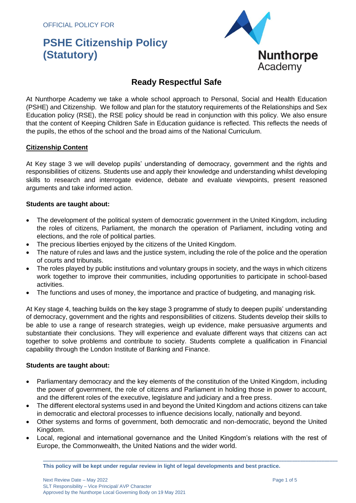OFFICIAL POLICY FOR

# **PSHE Citizenship Policy (Statutory)**



# **Ready Respectful Safe**

At Nunthorpe Academy we take a whole school approach to Personal, Social and Health Education (PSHE) and Citizenship. We follow and plan for the statutory requirements of the Relationships and Sex Education policy (RSE), the RSE policy should be read in conjunction with this policy. We also ensure that the content of Keeping Children Safe in Education guidance is reflected. This reflects the needs of the pupils, the ethos of the school and the broad aims of the National Curriculum.

# **Citizenship Content**

At Key stage 3 we will develop pupils' understanding of democracy, government and the rights and responsibilities of citizens. Students use and apply their knowledge and understanding whilst developing skills to research and interrogate evidence, debate and evaluate viewpoints, present reasoned arguments and take informed action.

### **Students are taught about:**

- The development of the political system of democratic government in the United Kingdom, including the roles of citizens, Parliament, the monarch the operation of Parliament, including voting and elections, and the role of political parties.
- The precious liberties enjoyed by the citizens of the United Kingdom.
- The nature of rules and laws and the justice system, including the role of the police and the operation of courts and tribunals.
- The roles played by public institutions and voluntary groups in society, and the ways in which citizens work together to improve their communities, including opportunities to participate in school-based activities.
- The functions and uses of money, the importance and practice of budgeting, and managing risk.

At Key stage 4, teaching builds on the key stage 3 programme of study to deepen pupils' understanding of democracy, government and the rights and responsibilities of citizens. Students develop their skills to be able to use a range of research strategies, weigh up evidence, make persuasive arguments and substantiate their conclusions. They will experience and evaluate different ways that citizens can act together to solve problems and contribute to society. Students complete a qualification in Financial capability through the London Institute of Banking and Finance.

### **Students are taught about:**

- Parliamentary democracy and the key elements of the constitution of the United Kingdom, including the power of government, the role of citizens and Parliament in holding those in power to account, and the different roles of the executive, legislature and judiciary and a free press.
- The different electoral systems used in and beyond the United Kingdom and actions citizens can take in democratic and electoral processes to influence decisions locally, nationally and beyond.
- Other systems and forms of government, both democratic and non-democratic, beyond the United Kingdom.
- Local, regional and international governance and the United Kingdom's relations with the rest of Europe, the Commonwealth, the United Nations and the wider world.

**\_\_\_\_\_\_\_\_\_\_\_\_\_\_\_\_\_\_\_\_\_\_\_\_\_\_\_\_\_\_\_\_\_\_\_\_\_\_\_\_\_\_\_\_\_\_\_\_\_\_\_\_\_\_\_\_\_\_\_\_\_\_\_\_\_\_\_\_\_\_\_\_\_\_\_\_\_\_\_\_\_\_\_\_\_\_\_\_\_\_\_\_\_\_\_\_\_\_\_\_\_\_\_\_\_\_\_\_\_\_**

**This policy will be kept under regular review in light of legal developments and best practice.**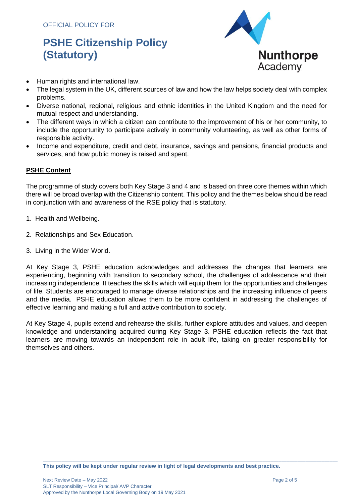# **PSHE Citizenship Policy (Statutory)**



- Human rights and international law.
- The legal system in the UK, different sources of law and how the law helps society deal with complex problems.
- Diverse national, regional, religious and ethnic identities in the United Kingdom and the need for mutual respect and understanding.
- The different ways in which a citizen can contribute to the improvement of his or her community, to include the opportunity to participate actively in community volunteering, as well as other forms of responsible activity.
- Income and expenditure, credit and debt, insurance, savings and pensions, financial products and services, and how public money is raised and spent.

# **PSHE Content**

The programme of study covers both Key Stage 3 and 4 and is based on three core themes within which there will be broad overlap with the Citizenship content. This policy and the themes below should be read in conjunction with and awareness of the RSE policy that is statutory.

- 1. Health and Wellbeing.
- 2. Relationships and Sex Education.
- 3. Living in the Wider World.

At Key Stage 3, PSHE education acknowledges and addresses the changes that learners are experiencing, beginning with transition to secondary school, the challenges of adolescence and their increasing independence. It teaches the skills which will equip them for the opportunities and challenges of life. Students are encouraged to manage diverse relationships and the increasing influence of peers and the media. PSHE education allows them to be more confident in addressing the challenges of effective learning and making a full and active contribution to society.

At Key Stage 4, pupils extend and rehearse the skills, further explore attitudes and values, and deepen knowledge and understanding acquired during Key Stage 3. PSHE education reflects the fact that learners are moving towards an independent role in adult life, taking on greater responsibility for themselves and others.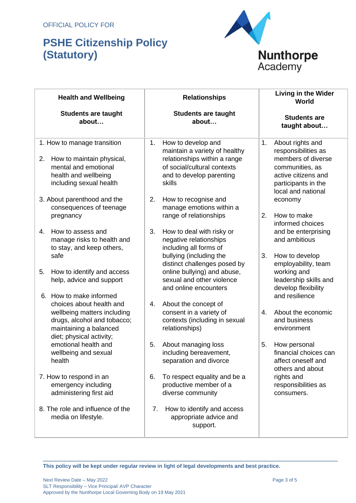# **PSHE Citizenship Policy (Statutory)**



| <b>Health and Wellbeing</b>                                                                                                                  | <b>Relationships</b>                                                                                                                                           | <b>Living in the Wider</b><br>World                                                                                                                        |
|----------------------------------------------------------------------------------------------------------------------------------------------|----------------------------------------------------------------------------------------------------------------------------------------------------------------|------------------------------------------------------------------------------------------------------------------------------------------------------------|
| <b>Students are taught</b><br>about                                                                                                          | <b>Students are taught</b><br>about                                                                                                                            | <b>Students are</b><br>taught about                                                                                                                        |
| 1. How to manage transition<br>How to maintain physical,<br>2.<br>mental and emotional<br>health and wellbeing<br>including sexual health    | How to develop and<br>1.<br>maintain a variety of healthy<br>relationships within a range<br>of social/cultural contexts<br>and to develop parenting<br>skills | About rights and<br>1.<br>responsibilities as<br>members of diverse<br>communities, as<br>active citizens and<br>participants in the<br>local and national |
| 3. About parenthood and the<br>consequences of teenage<br>pregnancy                                                                          | 2.<br>How to recognise and<br>manage emotions within a<br>range of relationships                                                                               | economy<br>2.<br>How to make<br>informed choices                                                                                                           |
| How to assess and<br>4.<br>manage risks to health and<br>to stay, and keep others,                                                           | 3.<br>How to deal with risky or<br>negative relationships<br>including all forms of                                                                            | and be enterprising<br>and ambitious                                                                                                                       |
| safe<br>How to identify and access<br>5.<br>help, advice and support<br>6. How to make informed                                              | bullying (including the<br>distinct challenges posed by<br>online bullying) and abuse,<br>sexual and other violence<br>and online encounters                   | 3.<br>How to develop<br>employability, team<br>working and<br>leadership skills and<br>develop flexibility<br>and resilience                               |
| choices about health and<br>wellbeing matters including<br>drugs, alcohol and tobacco;<br>maintaining a balanced<br>diet; physical activity; | About the concept of<br>4.<br>consent in a variety of<br>contexts (including in sexual<br>relationships)                                                       | About the economic<br>4.<br>and business<br>environment                                                                                                    |
| emotional health and<br>wellbeing and sexual<br>health                                                                                       | 5.<br>About managing loss<br>including bereavement,<br>separation and divorce                                                                                  | How personal<br>5.<br>financial choices can<br>affect oneself and<br>others and about                                                                      |
| 7. How to respond in an<br>emergency including<br>administering first aid                                                                    | To respect equality and be a<br>6.<br>productive member of a<br>diverse community                                                                              | rights and<br>responsibilities as<br>consumers.                                                                                                            |
| 8. The role and influence of the<br>media on lifestyle.                                                                                      | How to identify and access<br>7.<br>appropriate advice and<br>support.                                                                                         |                                                                                                                                                            |

**This policy will be kept under regular review in light of legal developments and best practice.**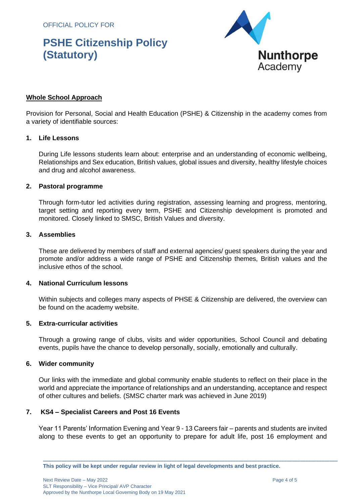OFFICIAL POLICY FOR

# **PSHE Citizenship Policy (Statutory)**



# **Whole School Approach**

Provision for Personal, Social and Health Education (PSHE) & Citizenship in the academy comes from a variety of identifiable sources:

#### **1. Life Lessons**

During Life lessons students learn about: enterprise and an understanding of economic wellbeing, Relationships and Sex education, British values, global issues and diversity, healthy lifestyle choices and drug and alcohol awareness.

#### **2. Pastoral programme**

Through form-tutor led activities during registration, assessing learning and progress, mentoring, target setting and reporting every term, PSHE and Citizenship development is promoted and monitored. Closely linked to SMSC, British Values and diversity.

#### **3. Assemblies**

These are delivered by members of staff and external agencies/ guest speakers during the year and promote and/or address a wide range of PSHE and Citizenship themes, British values and the inclusive ethos of the school.

### **4. National Curriculum lessons**

Within subjects and colleges many aspects of PHSE & Citizenship are delivered, the overview can be found on the academy website.

#### **5. Extra-curricular activities**

Through a growing range of clubs, visits and wider opportunities, School Council and debating events, pupils have the chance to develop personally, socially, emotionally and culturally.

### **6. Wider community**

Our links with the immediate and global community enable students to reflect on their place in the world and appreciate the importance of relationships and an understanding, acceptance and respect of other cultures and beliefs. (SMSC charter mark was achieved in June 2019)

### **7. KS4 – Specialist Careers and Post 16 Events**

Year 11 Parents' Information Evening and Year 9 - 13 Careers fair – parents and students are invited along to these events to get an opportunity to prepare for adult life, post 16 employment and

**This policy will be kept under regular review in light of legal developments and best practice.**